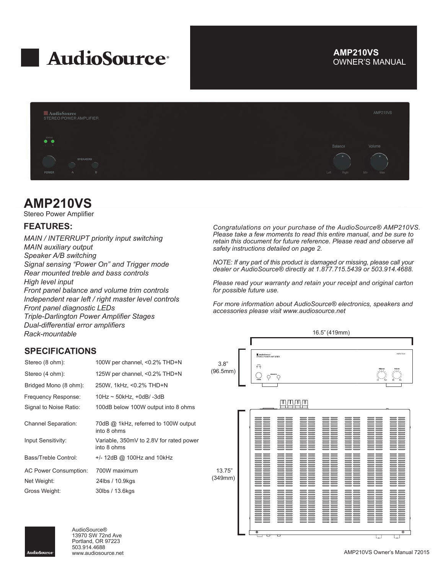

## OWNER'S MANUAL **AMP210VS**



## **AMP210VS**

Stereo Power Amplifier

## **FEATURES:**

*MAIN / INTERRUPT priority input switching MAIN auxiliary output Speaker A/B switching Signal sensing "Power On" and Trigger mode Rear mounted treble and bass controls High level input Front panel balance and volume trim controls Independent rear left / right master level controls Front panel diagnostic LEDs Triple-Darlington Power Amplifier Stages Dual-differential error amplifiers Rack-mountable*

#### *Congratulations on your purchase of the AudioSource® AMP210VS. Please take a few moments to read this entire manual, and be sure to retain this document for future reference. Please read and observe all safety instructions detailed on page 2.*

*NOTE: If any part of this product is damaged or missing, please call your dealer or AudioSource® directly at 1.877.715.5439 or 503.914.4688.*

*Please read your warranty and retain your receipt and original carton for possible future use.*

*For more information about AudioSource® electronics, speakers and accessories please visit www.audiosource.net*





AudioSource® 13970 SW 72nd Ave Portland, OR 97223 503.914.4688

П

 $\overline{\phantom{0}}$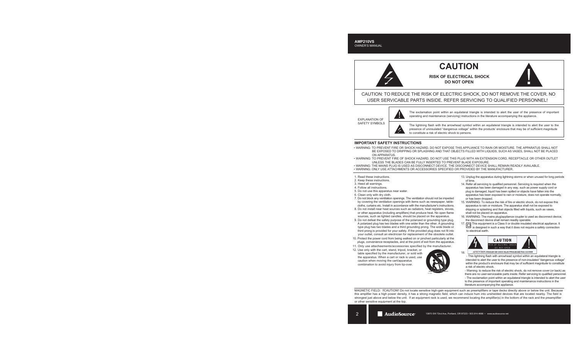# **CAUTION**

**RISK OF ELECTRICAL SHOCK DO NOT OPEN**

![](_page_1_Picture_3.jpeg)

CAUTION: TO REDUCE THE RISK OF ELECTRIC SHOCK, DO NOT REMOVE THE COVER. NO USER SERVICABLE PARTS INSIDE. REFER SERVICING TO QUALIFIED PERSONNEL!

EXPLANATION OF SAFETY SYMBOLS

![](_page_1_Picture_6.jpeg)

The exclamation point within an equilateral triangle is intended to alert the user of the presence of important operating and maintenance (servicing) instructions in the literature accompanying the appliance.

The lightning flash with the arrowhead symbol within an equilateral triangle is intended to alert the user to the presence of uninsulated "dangerous voltage" within the products' enclosure that may be of sufficient magnitude to constitute a risk of electric shock to persons.

### **IMPORTANT SAFETY INSTRUCTIONS**

- WARNING: TO PREVENT FIRE OR SHOCK HAZARD, DO NOT EXPOSE THIS APPLIANCE TO RAIN OR MOISTURE. THE APPARATUS SHALL NOT BE EXPOSED TO DRIPPING OR SPLASHING AND THAT OBJECTS FILLED WITH LIQUIDS, SUCH AS VASES, SHALL NOT BE PLACED ON APPARATUS.
- WARNING: TO PREVENT FIRE OF SHOCK HAZARD, DO NOT USE THIS PLUG WITH AN EXTENSION CORD, RECEPTACLE OR OTHER OUTLET UNLESS THE BLADES CAN BE FULLY INSERTED TO PREVENT BLADE EXPOSURE.
- WARNING: THE MAINS PLUG IS USED AS DISCONNECT DEVICE. THE DISCONNECT DEVICE SHALL REMAIN READILY AVAILABLE.
- WARNING: ONLY USE ATTACHMENTS OR ACCESSORIES SPECIFIED OR PROVIDED BY THE MANUFACTURER.
- 1. Read these instructions.
- 2. Keep these instructions.
- 3. Heed all warnings.
- 4. Follow all instructions.
- 5. Do not use this apparatus near water.
- 6. Clean only with dry cloth.
- 7. Do not block any ventilation openings. The ventilation should not be impeded by covering the ventilation openings with items such as newspaper, table cloths, curtains etc. Install in accordance with the manufacturer's instructions.
- 8. Do not install near heat sources such as radiators, heat registers, stoves, or other apparatus (including amplifiers) that produce heat. No open flame sources, such as lighted candles, should be placed on the apparatus.
- 9. Do not defeat the safety purpose of the polarized or grounding type plug. A polarized plug has two blades with one wider than the other. A grounding type plug has two blades and a third grounding prong. The wide blade or third prong is provided for your safety. If the provided plug does not fit into your outlet, consult an electrician for replacement of the obsolete outlet.
- 10. Protect the power cord from being walked on or pinched particularly at the plugs, convenience receptacles, and at the point of exit from the apparatus.
- 11. Only use attacheements/accessories specified by the manufacturer.
- 12. Use only with the cart, stand, tripod, bracket, or table specified by the manufacturer, or sold with the apparatus. When a cart or rack is used, use caution when moving the cart/apparatus combination to avoid injury from tip-over.

![](_page_1_Picture_26.jpeg)

- 13. Unplug the apparatus during lightning storms or when unused for long periods of time.
- 14. Refer all servicing to qualified personnel. Servicing is required when the apparatus has been damaged in any way, such as power supply cord or plug is damaged, liquid has been spilled or objects have fallen into the apparatus has been exposed to rain or moisture, does not operate normally, or has been dropped.
- 15. WARNING: To reduce the risk of fire or electric shock, do not expose this apparatus to rain or moisture. The apparatus shall not be exposed to dripping or splashing and that objects filled with liquids, such as vases, shall not be placed on apparatus.
- 16. WARNING: The mains plug/appliance coupler is used as disconnect device, the disconnect device shall remain readily operable.
- 17. This equipment is a Class II or double insulated electrical appliance. It is designed in such a way that it does not require a safety connection to electrical earth.

![](_page_1_Picture_32.jpeg)

ATTENTION: RISQUE DE CHOC ELECTRIQUE-NE PAS OUVRIR 18.

 - This lightning flash with arrowhead symbol within an equilateral triangle is intended to alert the user to the presence of non-insulated "dangerous voltage" within the product's enclosure that may be of sufficient magnitude to constitute a risk of electric shock.

 - Warning: to reduce the risk of electric shock, do not remove cover (or back) as there are no user-serviceable parts inside. Refer servicing to qualified personnel. - The exclamation point within an equilateral triangle is intended to alert the user

 to the presence of important operating and maintenance instructions in the literature accompanying the appliance.

MAGNETIC FIELD: !!CAUTION!! Do not locate sensitive high-gain equipment such as preamplifiers or tape decks directly above or below the unit. Because this amplifier has a high power density, it has a strong magnetic field, which can induce hum into unshielded devices that are located nearby. The field is strongest just above and below the unit. If an equipment rack is used, we recommend locating the amplifier(s) in the bottom of the rack and the preamplifier or other sensitive equipment at the top.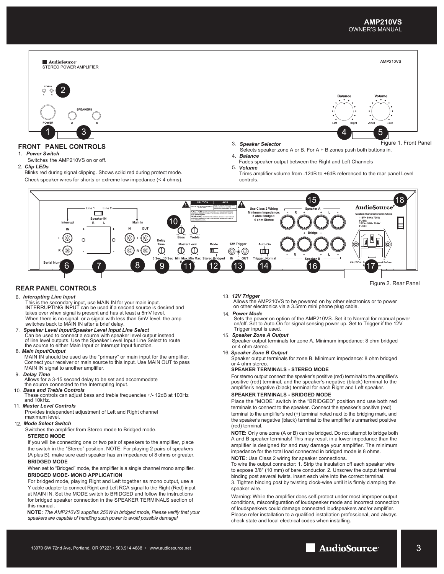![](_page_2_Figure_1.jpeg)

#### **REAR PANEL CONTROLS**

#### *Interupting Line Input* 6.

- This is the secondary input, use MAIN IN for your main input. INTERRUPTING INPUT can be used if a second source is desired and takes over when signal is present and has at least a 5mV level. When there is no signal, or a signal with less than 5mV level, the amp switches back to MAIN IN after a brief delay.
- 7. *Speaker Level Input/Speaker Level Input Line Select* Can be used to connect a source with speaker level output instead of line level outputs. Use the Speaker Level Input Line Select to route the source to either Main Input or Interrupt Input function.

#### 8.  *Main Input/Output*

MAIN IN should be used as the "primary" or main input for the amplifier. Connect your receiver or main source to this input. Use MAIN OUT to pass MAIN IN signal to another amplifier.

#### 9. *Delay Time*

Allows for a 3-15 second delay to be set and accommodate the source connected to the Interrupting Input.

#### *Bass and Treble Controls* 10.

These controls can adjust bass and treble frequencies +/- 12dB at 100Hz and 10kHz.

#### 11. *Master Level Controls*

Provides independent adjustment of Left and Right channel maximum level

#### 12. *Mode Select Switch*

Switches the amplifier from Stereo mode to Bridged mode. **STEREO MODE**

If you will be connecting one or two pair of speakers to the amplifier, place the switch in the "Stereo" position. NOTE: For playing 2 pairs of speakers (A plus B), make sure each speaker has an impedance of 8 ohms or greater. **BRIDGED MODE**

#### When set to "Bridged" mode, the amplifier is a single channel mono amplifier. **BRIDGED MODE- MONO APPLICATION**

For bridged mode, playing Right and Left together as mono output, use a Y cable adapter to connect Right and Left RCA signal to the Right (Red) input at MAIN IN. Set the MODE switch to BRIDGED and follow the instructions for bridged speaker connection in the SPEAKER TERMINALS section of this manual.

**NOTE:** *The AMP210VS supplies 250W in bridged mode, Please verify that your speakers are capable of handling such power to avoid possible damage!*

#### 13. *12V Trigger*

Allows the AMP210VS to be powered on by other electronics or to power on other electronics via a 3.5mm mini phone plug cable.

#### 14. *Power Mode*

Sets the power on option of the AMP210VS. Set it to Normal for manual power<br>on/off. Set to Auto-On for signal sensing power up. Set to Trigger if the 12V<br>Trigger input is used.

#### *Speaker Zone A Output* 15.

Speaker output terminals for zone A. Minimum impedance: 8 ohm bridged or 4 ohm stereo.

#### *Speaker Zone B Output* 16.

Speaker output terminals for zone B. Minimum impedance: 8 ohm bridged or 4 ohm stereo.

#### **SPEAKER TERMINALS - STEREO MODE**

For stereo output connect the speaker's positive (red) terminal to the amplifier's positive (red) terminal, and the speaker's negative (black) terminal to the amplifier's negative (black) terminal for each Right and Left speaker.

#### **SPEAKER TERMINALS - BRIDGED MODE**

Place the "MODE" switch in the "BRIDGED" position and use both red terminals to connect to the speaker. Connect the speaker's positive (red) terminal to the amplifier's red (+) terminal noted next to the bridging mark, and the speaker's negative (black) terminal to the amplifier's unmarked positive (red) terminal.

**NOTE:** Only one zone (A or B) can be bridged. Do not attempt to bridge both A and B speaker terminals! This may result in a lower impedance than the amplifier is designed for and may damage your amplifier. The minimum impedance for the total load connected in bridged mode is 8 ohms. **NOTE:** Use Class 2 wiring for speaker connections.

To wire the output connector: 1. Strip the insulation off each speaker wire to expose 3/8" (10 mm) of bare conductor. 2. Unscrew the output terminal binding post several twists, insert each wire into the correct terminal. 3. Tighten binding post by twisting clock-wise until it is firmly clamping the speaker wire.

Warning: While the amplifier does self-protect under most improper output conditions, misconfiguration of loudspeaker mode and incorrect connection of loudspeakers could damage connected loudspeakers and/or amplifier. Please refer installation to a qualified installation professional, and always check state and local electrical codes when installing.

![](_page_2_Picture_36.jpeg)